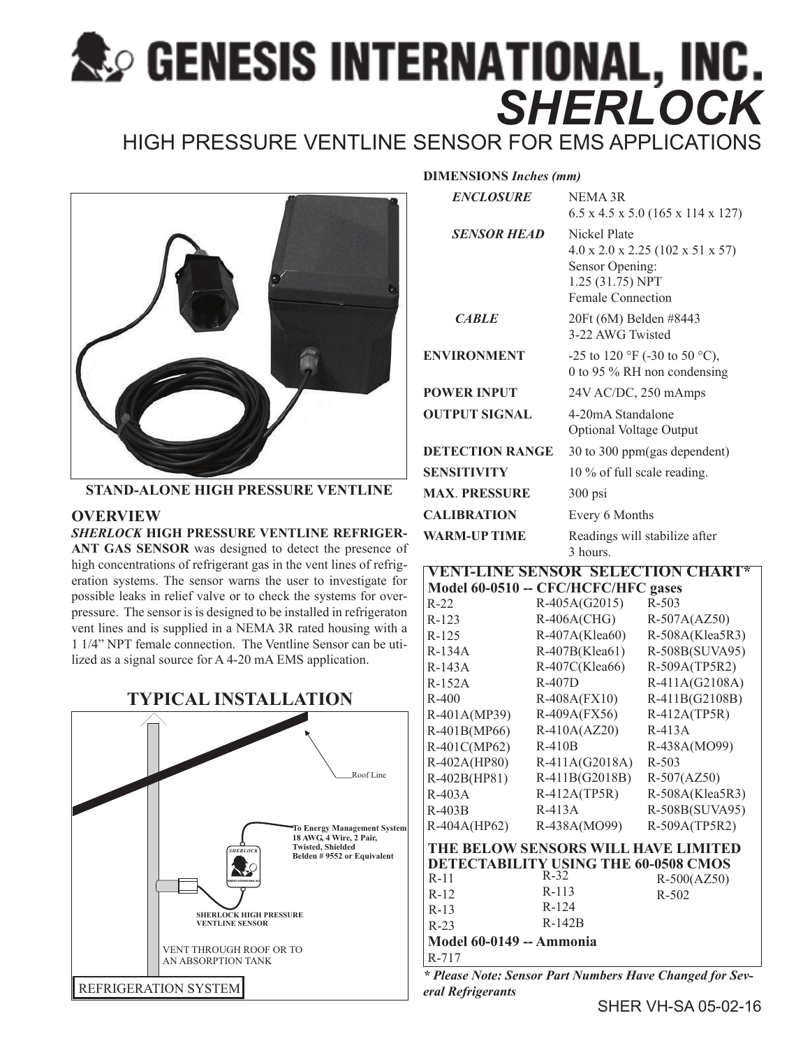# **Readers INTERNATIONAL, INC.**<br>SHERLOCK

HIGH PRESSURE VENTLINE SENSOR FOR EMS APPLICATIONS



**STAND-ALONE HIGH PRESSURE VENTLINE**

## **OVERVIEW**

### *SHERLOCK* **HIGH PRESSURE VENTLINE REFRIGER-ANT GAS SENSOR** was designed to detect the presence of

high concentrations of refrigerant gas in the vent lines of refrigeration systems. The sensor warns the user to investigate for possible leaks in relief valve or to check the systems for overpressure. The sensor is is designed to be installed in refrigeraton vent lines and is supplied in a NEMA 3R rated housing with a 1 1/4" NPT female connection. The Ventline Sensor can be utilized as a signal source for A 4-20 mA EMS application.

# **TYPICAL INSTALLATION**



| <b>DIMENSIONS Inches (mm)</b> |                                                                                                              |  |  |
|-------------------------------|--------------------------------------------------------------------------------------------------------------|--|--|
| <b>ENCLOSURE</b>              | NEMA 3R<br>$6.5 \times 4.5 \times 5.0$ (165 x 114 x 127)                                                     |  |  |
| <b>SENSOR HEAD</b>            | Nickel Plate<br>4.0 x 2.0 x 2.25 (102 x 51 x 57)<br>Sensor Opening:<br>1.25 (31.75) NPT<br>Female Connection |  |  |
| <b>CARLE</b>                  | 20Ft (6M) Belden #8443<br>3-22 AWG Twisted                                                                   |  |  |
| <b>ENVIRONMENT</b>            | -25 to 120 °F (-30 to 50 °C),<br>0 to 95 % RH non condensing                                                 |  |  |
| <b>POWER INPUT</b>            | 24V AC/DC, 250 mAmps                                                                                         |  |  |
| <b>OUTPUT SIGNAL</b>          | 4-20mA Standalone<br><b>Optional Voltage Output</b>                                                          |  |  |
| <b>DETECTION RANGE</b>        | 30 to 300 ppm (gas dependent)                                                                                |  |  |
| <b>SENSITIVITY</b>            | 10 % of full scale reading.                                                                                  |  |  |
| <b>MAX. PRESSURE</b>          | $300$ psi                                                                                                    |  |  |
| <b>CALIBRATION</b>            | Every 6 Months                                                                                               |  |  |
| <b>WARM-UP TIME</b>           | Readings will stabilize after<br>3 hours.                                                                    |  |  |
| ENTELINE SENSOR SELECTION CHA |                                                                                                              |  |  |

| Model 60-0510 -- CFC/HCFC/HFC gases         |                  |                 |  |
|---------------------------------------------|------------------|-----------------|--|
| $R-22$                                      | R-405A(G2015)    | R-503           |  |
| $R-123$                                     | $R-406A(CHG)$    | $R-507A(AZ50)$  |  |
| $R-125$                                     | R-407A(Klea60)   | R-508A(Klea5R3) |  |
| $R-134A$                                    | R-407B(Klea61)   | R-508B(SUVA95)  |  |
| $R-143A$                                    | $R-407C(Klea66)$ | R-509A(TP5R2)   |  |
| $R-152A$                                    | $R-407D$         | R-411A(G2108A)  |  |
| $R-400$                                     | R-408A(FX10)     | R-411B(G2108B)  |  |
| R-401A(MP39)                                | $R-409A(FX56)$   | $R-412A(TP5R)$  |  |
| R-401B(MP66)                                | $R-410A(AZ20)$   | $R-413A$        |  |
| R-401C(MP62)                                | $R-410B$         | R-438A(MO99)    |  |
| R-402A(HP80)                                | $R-411A(G2018A)$ | $R - 503$       |  |
| R-402B(HP81)                                | R-411B(G2018B)   | $R-507(AZ50)$   |  |
| $R-403A$                                    | $R-412A(TP5R)$   | R-508A(Klea5R3) |  |
| $R-403B$                                    | R-413A           | R-508B(SUVA95)  |  |
| R-404A(HP62)                                | R-438A(MO99)     | R-509A(TP5R2)   |  |
| THE BELOW SENSORS WILL HAVE LIMITED         |                  |                 |  |
| <b>DETECTABILITY USING THE 60-0508 CMOS</b> |                  |                 |  |
| $R-11$                                      | $R-32$           | $R-500(AZ50)$   |  |
| $R-12$                                      | $R-113$          | R-502           |  |
| $R-13$                                      | $R-124$          |                 |  |
| $R-23$                                      | $R-142B$         |                 |  |
| Model 60-0149 -- Ammonia                    |                  |                 |  |
| $R-717$                                     |                  |                 |  |

*\* Please Note: Sensor Part Numbers Have Changed for Several Refrigerants*